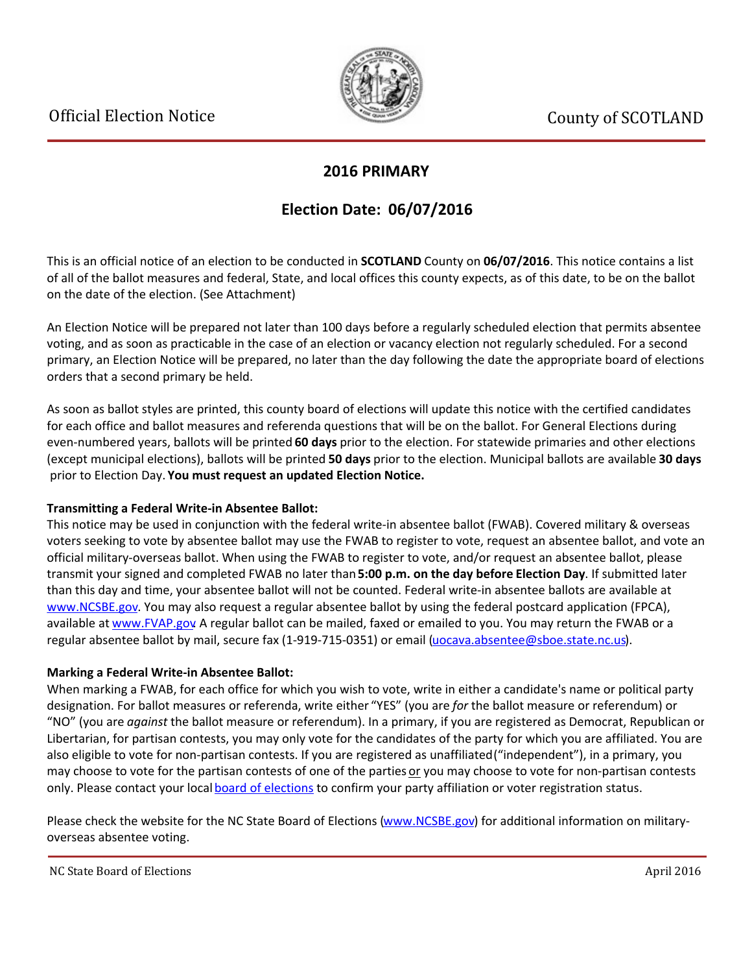

### **2016 PRIMARY**

## **Election Date: 06/07/2016**

This is an official notice of an election to be conducted in **SCOTLAND** County on **06/07/2016**. This notice contains a list of all of the ballot measures and federal, State, and local offices this county expects, as of this date, to be on the ballot on the date of the election. (See Attachment)

An Election Notice will be prepared not later than 100 days before a regularly scheduled election that permits absentee voting, and as soon as practicable in the case of an election or vacancy election not regularly scheduled. For a second primary, an Election Notice will be prepared, no later than the day following the date the appropriate board of elections orders that a second primary be held.

As soon as ballot styles are printed, this county board of elections will update this notice with the certified candidates for each office and ballot measures and referenda questions that will be on the ballot. For General Elections during even-numbered years, ballots will be printed **60 days** prior to the election. For statewide primaries and other elections (except municipal elections), ballots will be printed **50 days** prior to the election. Municipal ballots are available **30 days** prior to Election Day. **You must request an updated Election Notice.**

#### **Transmitting a Federal Write-in Absentee Ballot:**

This notice may be used in conjunction with the federal write-in absentee ballot (FWAB). Covered military & overseas voters seeking to vote by absentee ballot may use the FWAB to register to vote, request an absentee ballot, and vote an official military-overseas ballot. When using the FWAB to register to vote, and/or request an absentee ballot, please transmit your signed and completed FWAB no later than **5:00 p.m. on the day before Election Day**. If submitted later than this day and time, your absentee ballot will not be counted. Federal write-in absentee ballots are available at [www.NCSBE.gov](http://www.ncsbe.gov/). You may also request a regular absentee ballot by using the federal postcard application (FPCA), available at [www.FVAP.gov](http://www.fvap.gov/) A regular ballot can be mailed, faxed or emailed to you. You may return the FWAB or a regular absentee ballot by mail, secure fax (1-919-715-0351) or email (uocava.absentee@sboe.state.nc.us).

#### **Marking a Federal Write-in Absentee Ballot:**

When marking a FWAB, for each office for which you wish to vote, write in either a candidate's name or political party designation. For ballot measures or referenda, write either "YES" (you are *for* the ballot measure or referendum) or ͞NO͟(you are *against* the ballot measure or referendum). In a primary, if you are registered as Democrat, Republican or Libertarian, for partisan contests, you may only vote for the candidates of the party for which you are affiliated. You are also eligible to vote for non-partisan contests. If you are registered as unaffiliated ("independent"), in a primary, you may choose to vote for the partisan contests of one of the parties or you may choose to vote for non-partisan contests only. Please contact your local [board of elections](http://www.ncsbe.gov/webapps/CBESearch/) to confirm your party affiliation or voter registration status.

Please check the website for the NC State Board of Elections [\(www.NCSBE.gov](http://www.ncsbe.gov/)) for additional information on militaryoverseas absentee voting.